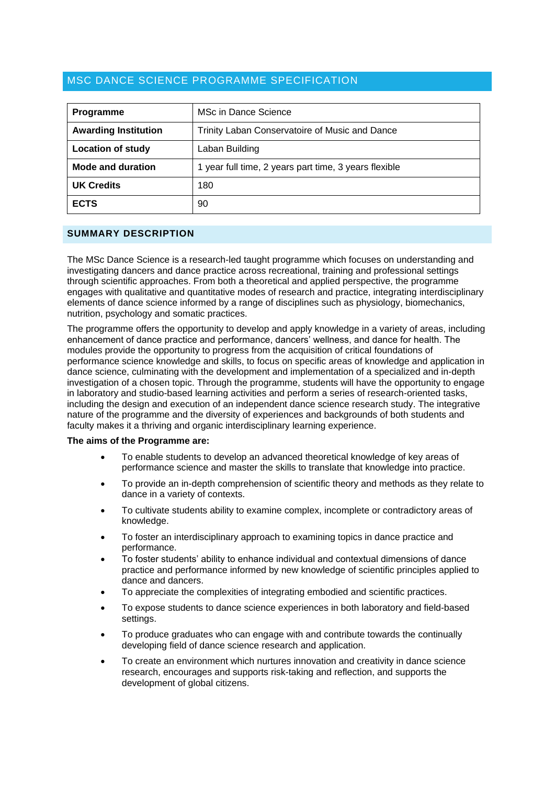# MSC DANCE SCIENCE PROGRAMME SPECIFICATION

| Programme                   | MSc in Dance Science                                  |
|-----------------------------|-------------------------------------------------------|
| <b>Awarding Institution</b> | Trinity Laban Conservatoire of Music and Dance        |
| <b>Location of study</b>    | Laban Building                                        |
| <b>Mode and duration</b>    | 1 year full time, 2 years part time, 3 years flexible |
| <b>UK Credits</b>           | 180                                                   |
| <b>ECTS</b>                 | 90                                                    |

### **SUMMARY DESCRIPTION**

The MSc Dance Science is a research-led taught programme which focuses on understanding and investigating dancers and dance practice across recreational, training and professional settings through scientific approaches. From both a theoretical and applied perspective, the programme engages with qualitative and quantitative modes of research and practice, integrating interdisciplinary elements of dance science informed by a range of disciplines such as physiology, biomechanics, nutrition, psychology and somatic practices.

The programme offers the opportunity to develop and apply knowledge in a variety of areas, including enhancement of dance practice and performance, dancers' wellness, and dance for health. The modules provide the opportunity to progress from the acquisition of critical foundations of performance science knowledge and skills, to focus on specific areas of knowledge and application in dance science, culminating with the development and implementation of a specialized and in-depth investigation of a chosen topic. Through the programme, students will have the opportunity to engage in laboratory and studio-based learning activities and perform a series of research-oriented tasks, including the design and execution of an independent dance science research study. The integrative nature of the programme and the diversity of experiences and backgrounds of both students and faculty makes it a thriving and organic interdisciplinary learning experience.

#### **The aims of the Programme are:**

- To enable students to develop an advanced theoretical knowledge of key areas of performance science and master the skills to translate that knowledge into practice.
- To provide an in-depth comprehension of scientific theory and methods as they relate to dance in a variety of contexts.
- To cultivate students ability to examine complex, incomplete or contradictory areas of knowledge.
- To foster an interdisciplinary approach to examining topics in dance practice and performance.
- To foster students' ability to enhance individual and contextual dimensions of dance practice and performance informed by new knowledge of scientific principles applied to dance and dancers.
- To appreciate the complexities of integrating embodied and scientific practices.
- To expose students to dance science experiences in both laboratory and field-based settings.
- To produce graduates who can engage with and contribute towards the continually developing field of dance science research and application.
- To create an environment which nurtures innovation and creativity in dance science research, encourages and supports risk-taking and reflection, and supports the development of global citizens.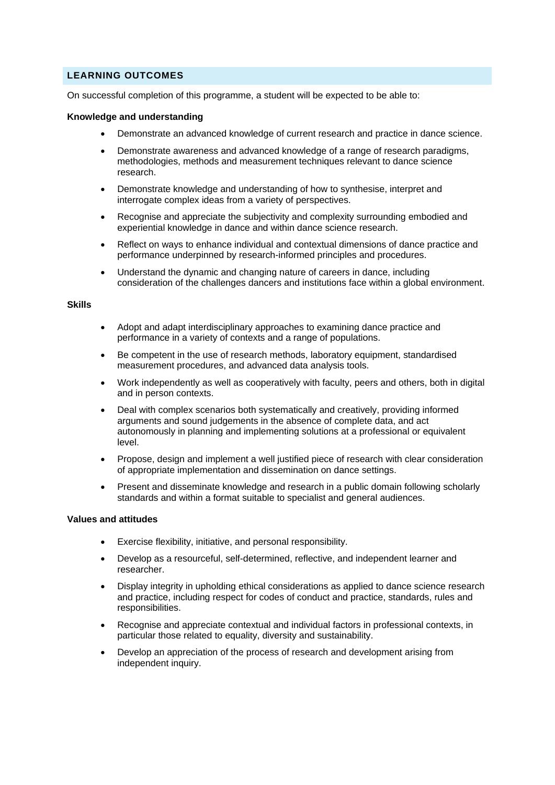# **LEARNING OUTCOMES**

On successful completion of this programme, a student will be expected to be able to:

#### **Knowledge and understanding**

- Demonstrate an advanced knowledge of current research and practice in dance science.
- Demonstrate awareness and advanced knowledge of a range of research paradigms, methodologies, methods and measurement techniques relevant to dance science research.
- Demonstrate knowledge and understanding of how to synthesise, interpret and interrogate complex ideas from a variety of perspectives.
- Recognise and appreciate the subjectivity and complexity surrounding embodied and experiential knowledge in dance and within dance science research.
- Reflect on ways to enhance individual and contextual dimensions of dance practice and performance underpinned by research-informed principles and procedures.
- Understand the dynamic and changing nature of careers in dance, including consideration of the challenges dancers and institutions face within a global environment.

### **Skills**

- Adopt and adapt interdisciplinary approaches to examining dance practice and performance in a variety of contexts and a range of populations.
- Be competent in the use of research methods, laboratory equipment, standardised measurement procedures, and advanced data analysis tools.
- Work independently as well as cooperatively with faculty, peers and others, both in digital and in person contexts.
- Deal with complex scenarios both systematically and creatively, providing informed arguments and sound judgements in the absence of complete data, and act autonomously in planning and implementing solutions at a professional or equivalent level.
- Propose, design and implement a well justified piece of research with clear consideration of appropriate implementation and dissemination on dance settings.
- Present and disseminate knowledge and research in a public domain following scholarly standards and within a format suitable to specialist and general audiences.

### **Values and attitudes**

- Exercise flexibility, initiative, and personal responsibility.
- Develop as a resourceful, self-determined, reflective, and independent learner and researcher.
- Display integrity in upholding ethical considerations as applied to dance science research and practice, including respect for codes of conduct and practice, standards, rules and responsibilities.
- Recognise and appreciate contextual and individual factors in professional contexts, in particular those related to equality, diversity and sustainability.
- Develop an appreciation of the process of research and development arising from independent inquiry.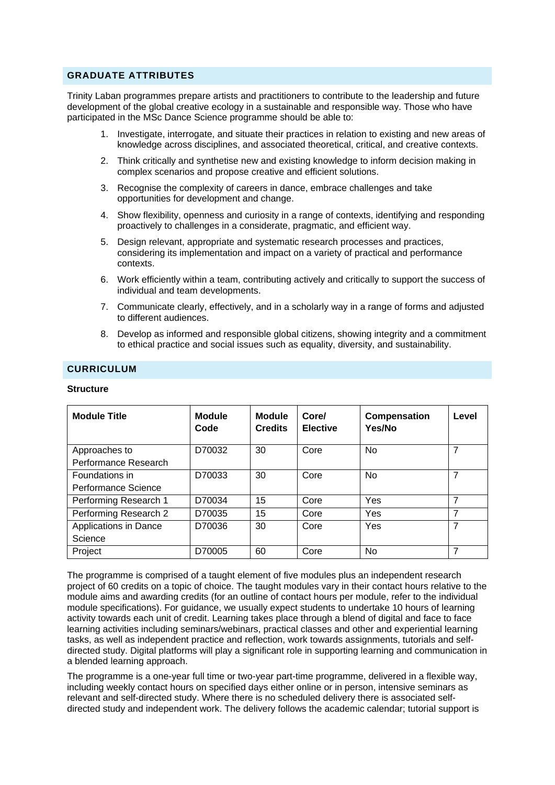### **GRADUATE ATTRIBUTES**

Trinity Laban programmes prepare artists and practitioners to contribute to the leadership and future development of the global creative ecology in a sustainable and responsible way. Those who have participated in the MSc Dance Science programme should be able to:

- 1. Investigate, interrogate, and situate their practices in relation to existing and new areas of knowledge across disciplines, and associated theoretical, critical, and creative contexts.
- 2. Think critically and synthetise new and existing knowledge to inform decision making in complex scenarios and propose creative and efficient solutions.
- 3. Recognise the complexity of careers in dance, embrace challenges and take opportunities for development and change.
- 4. Show flexibility, openness and curiosity in a range of contexts, identifying and responding proactively to challenges in a considerate, pragmatic, and efficient way.
- 5. Design relevant, appropriate and systematic research processes and practices, considering its implementation and impact on a variety of practical and performance contexts.
- 6. Work efficiently within a team, contributing actively and critically to support the success of individual and team developments.
- 7. Communicate clearly, effectively, and in a scholarly way in a range of forms and adjusted to different audiences.
- 8. Develop as informed and responsible global citizens, showing integrity and a commitment to ethical practice and social issues such as equality, diversity, and sustainability.

### **CURRICULUM**

### **Structure**

| <b>Module Title</b>   | <b>Module</b><br>Code | <b>Module</b><br><b>Credits</b> | Core/<br><b>Elective</b> | Compensation<br>Yes/No | Level |
|-----------------------|-----------------------|---------------------------------|--------------------------|------------------------|-------|
| Approaches to         | D70032                | 30                              | Core                     | <b>No</b>              | 7     |
| Performance Research  |                       |                                 |                          |                        |       |
| Foundations in        | D70033                | 30                              | Core                     | <b>No</b>              |       |
| Performance Science   |                       |                                 |                          |                        |       |
| Performing Research 1 | D70034                | 15                              | Core                     | Yes                    | 7     |
| Performing Research 2 | D70035                | 15                              | Core                     | Yes                    | 7     |
| Applications in Dance | D70036                | 30                              | Core                     | Yes                    | 7     |
| Science               |                       |                                 |                          |                        |       |
| Project               | D70005                | 60                              | Core                     | <b>No</b>              | 7     |

The programme is comprised of a taught element of five modules plus an independent research project of 60 credits on a topic of choice. The taught modules vary in their contact hours relative to the module aims and awarding credits (for an outline of contact hours per module, refer to the individual module specifications). For guidance, we usually expect students to undertake 10 hours of learning activity towards each unit of credit. Learning takes place through a blend of digital and face to face learning activities including seminars/webinars, practical classes and other and experiential learning tasks, as well as independent practice and reflection, work towards assignments, tutorials and selfdirected study. Digital platforms will play a significant role in supporting learning and communication in a blended learning approach.

The programme is a one-year full time or two-year part-time programme, delivered in a flexible way, including weekly contact hours on specified days either online or in person, intensive seminars as relevant and self-directed study. Where there is no scheduled delivery there is associated selfdirected study and independent work. The delivery follows the academic calendar; tutorial support is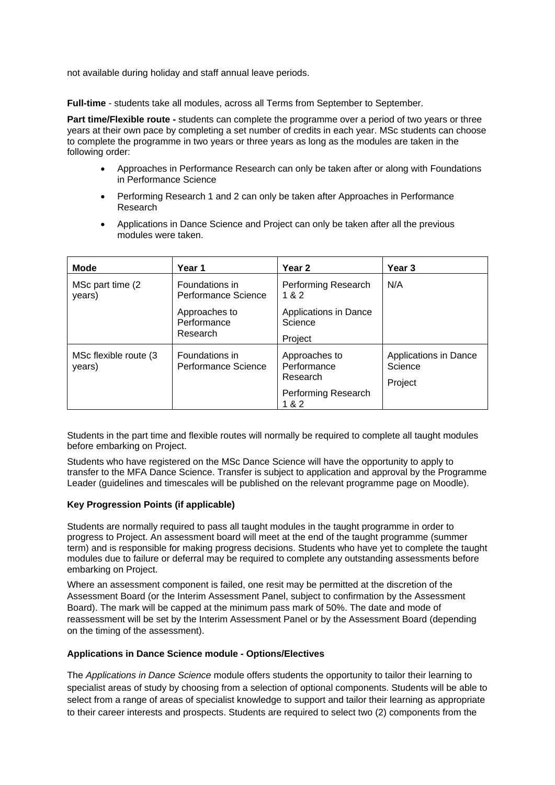not available during holiday and staff annual leave periods.

**Full-time** - students take all modules, across all Terms from September to September.

**Part time/Flexible route -** students can complete the programme over a period of two years or three years at their own pace by completing a set number of credits in each year. MSc students can choose to complete the programme in two years or three years as long as the modules are taken in the following order:

- Approaches in Performance Research can only be taken after or along with Foundations in Performance Science
- Performing Research 1 and 2 can only be taken after Approaches in Performance Research
- Applications in Dance Science and Project can only be taken after all the previous modules were taken.

| <b>Mode</b>                                                               | Year 1                                   | Year 2                                   | Year 3                                      |
|---------------------------------------------------------------------------|------------------------------------------|------------------------------------------|---------------------------------------------|
| MSc part time (2)<br>years)                                               | Foundations in<br>Performance Science    | Performing Research<br>1 & 2             | N/A                                         |
|                                                                           | Approaches to<br>Performance<br>Research | Applications in Dance<br>Science         |                                             |
|                                                                           |                                          | Project                                  |                                             |
| Foundations in<br>MSc flexible route (3)<br>Performance Science<br>years) |                                          | Approaches to<br>Performance<br>Research | Applications in Dance<br>Science<br>Project |
|                                                                           |                                          | Performing Research<br>1 & 2             |                                             |

Students in the part time and flexible routes will normally be required to complete all taught modules before embarking on Project.

Students who have registered on the MSc Dance Science will have the opportunity to apply to transfer to the MFA Dance Science. Transfer is subject to application and approval by the Programme Leader (guidelines and timescales will be published on the relevant programme page on Moodle).

### **Key Progression Points (if applicable)**

Students are normally required to pass all taught modules in the taught programme in order to progress to Project. An assessment board will meet at the end of the taught programme (summer term) and is responsible for making progress decisions. Students who have yet to complete the taught modules due to failure or deferral may be required to complete any outstanding assessments before embarking on Project.

Where an assessment component is failed, one resit may be permitted at the discretion of the Assessment Board (or the Interim Assessment Panel, subject to confirmation by the Assessment Board). The mark will be capped at the minimum pass mark of 50%. The date and mode of reassessment will be set by the Interim Assessment Panel or by the Assessment Board (depending on the timing of the assessment).

#### **Applications in Dance Science module - Options/Electives**

The *Applications in Dance Science* module offers students the opportunity to tailor their learning to specialist areas of study by choosing from a selection of optional components. Students will be able to select from a range of areas of specialist knowledge to support and tailor their learning as appropriate to their career interests and prospects. Students are required to select two (2) components from the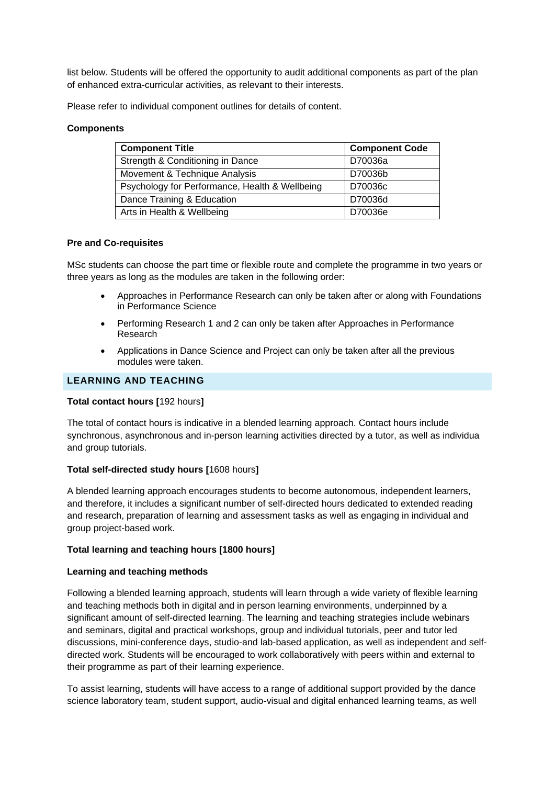list below. Students will be offered the opportunity to audit additional components as part of the plan of enhanced extra-curricular activities, as relevant to their interests.

Please refer to individual component outlines for details of content.

### **Components**

| <b>Component Title</b>                         | <b>Component Code</b> |  |
|------------------------------------------------|-----------------------|--|
| Strength & Conditioning in Dance               | D70036a               |  |
| Movement & Technique Analysis                  | D70036b               |  |
| Psychology for Performance, Health & Wellbeing | D70036c               |  |
| Dance Training & Education                     | D70036d               |  |
| Arts in Health & Wellbeing                     | D70036e               |  |

#### **Pre and Co-requisites**

MSc students can choose the part time or flexible route and complete the programme in two years or three years as long as the modules are taken in the following order:

- Approaches in Performance Research can only be taken after or along with Foundations in Performance Science
- Performing Research 1 and 2 can only be taken after Approaches in Performance Research
- Applications in Dance Science and Project can only be taken after all the previous modules were taken.

### **LEARNING AND TEACHING**

#### **Total contact hours [**192 hours**]**

The total of contact hours is indicative in a blended learning approach. Contact hours include synchronous, asynchronous and in-person learning activities directed by a tutor, as well as individua and group tutorials.

### **Total self-directed study hours [**1608 hours**]**

A blended learning approach encourages students to become autonomous, independent learners, and therefore, it includes a significant number of self-directed hours dedicated to extended reading and research, preparation of learning and assessment tasks as well as engaging in individual and group project-based work.

#### **Total learning and teaching hours [1800 hours]**

#### **Learning and teaching methods**

Following a blended learning approach, students will learn through a wide variety of flexible learning and teaching methods both in digital and in person learning environments, underpinned by a significant amount of self-directed learning. The learning and teaching strategies include webinars and seminars, digital and practical workshops, group and individual tutorials, peer and tutor led discussions, mini-conference days, studio-and lab-based application, as well as independent and selfdirected work. Students will be encouraged to work collaboratively with peers within and external to their programme as part of their learning experience.

To assist learning, students will have access to a range of additional support provided by the dance science laboratory team, student support, audio-visual and digital enhanced learning teams, as well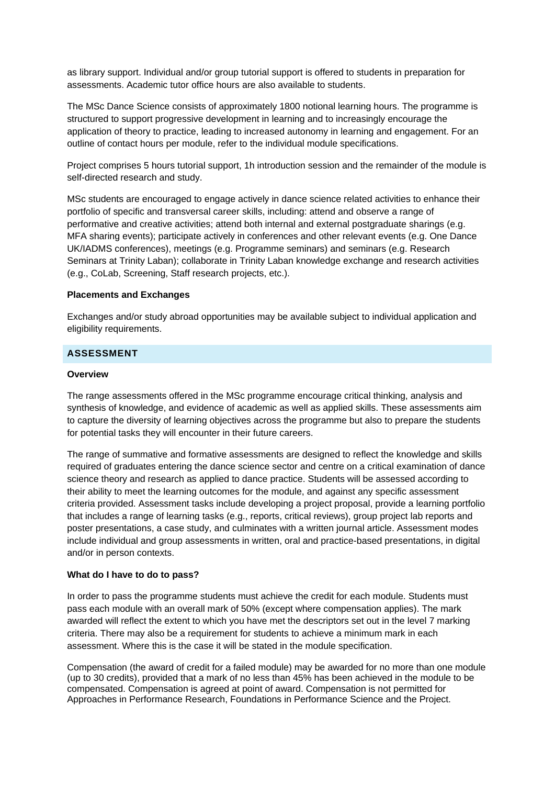as library support. Individual and/or group tutorial support is offered to students in preparation for assessments. Academic tutor office hours are also available to students.

The MSc Dance Science consists of approximately 1800 notional learning hours. The programme is structured to support progressive development in learning and to increasingly encourage the application of theory to practice, leading to increased autonomy in learning and engagement. For an outline of contact hours per module, refer to the individual module specifications.

Project comprises 5 hours tutorial support, 1h introduction session and the remainder of the module is self-directed research and study.

MSc students are encouraged to engage actively in dance science related activities to enhance their portfolio of specific and transversal career skills, including: attend and observe a range of performative and creative activities; attend both internal and external postgraduate sharings (e.g. MFA sharing events); participate actively in conferences and other relevant events (e.g. One Dance UK/IADMS conferences), meetings (e.g. Programme seminars) and seminars (e.g. Research Seminars at Trinity Laban); collaborate in Trinity Laban knowledge exchange and research activities (e.g., CoLab, Screening, Staff research projects, etc.).

#### **Placements and Exchanges**

Exchanges and/or study abroad opportunities may be available subject to individual application and eligibility requirements.

### **ASSESSMENT**

#### **Overview**

The range assessments offered in the MSc programme encourage critical thinking, analysis and synthesis of knowledge, and evidence of academic as well as applied skills. These assessments aim to capture the diversity of learning objectives across the programme but also to prepare the students for potential tasks they will encounter in their future careers.

The range of summative and formative assessments are designed to reflect the knowledge and skills required of graduates entering the dance science sector and centre on a critical examination of dance science theory and research as applied to dance practice. Students will be assessed according to their ability to meet the learning outcomes for the module, and against any specific assessment criteria provided. Assessment tasks include developing a project proposal, provide a learning portfolio that includes a range of learning tasks (e.g., reports, critical reviews), group project lab reports and poster presentations, a case study, and culminates with a written journal article. Assessment modes include individual and group assessments in written, oral and practice-based presentations, in digital and/or in person contexts.

#### **What do I have to do to pass?**

In order to pass the programme students must achieve the credit for each module. Students must pass each module with an overall mark of 50% (except where compensation applies). The mark awarded will reflect the extent to which you have met the descriptors set out in the level 7 marking criteria. There may also be a requirement for students to achieve a minimum mark in each assessment. Where this is the case it will be stated in the module specification.

Compensation (the award of credit for a failed module) may be awarded for no more than one module (up to 30 credits), provided that a mark of no less than 45% has been achieved in the module to be compensated. Compensation is agreed at point of award. Compensation is not permitted for Approaches in Performance Research, Foundations in Performance Science and the Project.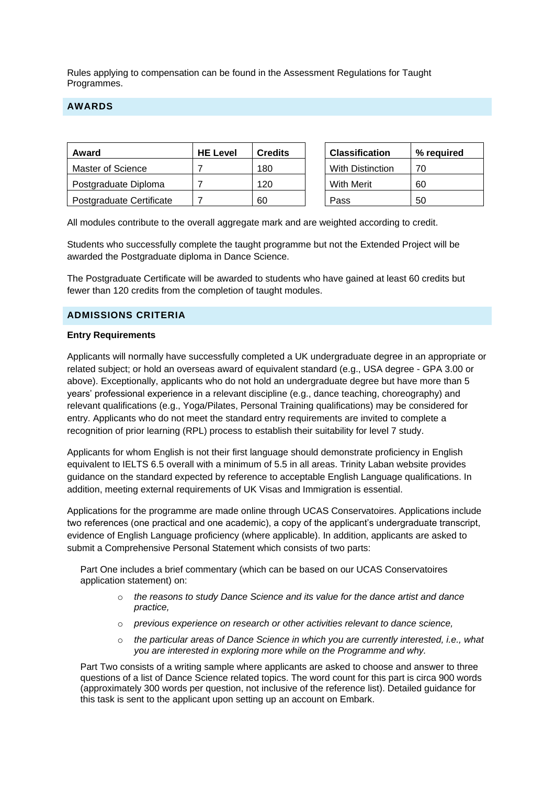Rules applying to compensation can be found in the Assessment Regulations for Taught Programmes.

## **AWARDS**

| Award                    | <b>HE Level</b> | <b>Credits</b> | <b>Classification</b>   | % reauired |
|--------------------------|-----------------|----------------|-------------------------|------------|
| Master of Science        |                 | 180            | <b>With Distinction</b> | 70         |
| Postgraduate Diploma     |                 | 120            | <b>With Merit</b>       | 60         |
| Postgraduate Certificate |                 | 60             | Pass                    | 50         |

All modules contribute to the overall aggregate mark and are weighted according to credit.

Students who successfully complete the taught programme but not the Extended Project will be awarded the Postgraduate diploma in Dance Science.

The Postgraduate Certificate will be awarded to students who have gained at least 60 credits but fewer than 120 credits from the completion of taught modules.

### **ADMISSIONS CRITERIA**

#### **Entry Requirements**

Applicants will normally have successfully completed a UK undergraduate degree in an appropriate or related subject; or hold an overseas award of equivalent standard (e.g., USA degree - GPA 3.00 or above). Exceptionally, applicants who do not hold an undergraduate degree but have more than 5 years' professional experience in a relevant discipline (e.g., dance teaching, choreography) and relevant qualifications (e.g., Yoga/Pilates, Personal Training qualifications) may be considered for entry. Applicants who do not meet the standard entry requirements are invited to complete a recognition of prior learning (RPL) process to establish their suitability for level 7 study.

Applicants for whom English is not their first language should demonstrate proficiency in English equivalent to IELTS 6.5 overall with a minimum of 5.5 in all areas. Trinity Laban website provides guidance on the standard expected by reference to acceptable English Language qualifications. In addition, meeting external requirements of UK Visas and Immigration is essential.

Applications for the programme are made online through UCAS Conservatoires. Applications include two references (one practical and one academic), a copy of the applicant's undergraduate transcript, evidence of English Language proficiency (where applicable). In addition, applicants are asked to submit a Comprehensive Personal Statement which consists of two parts:

Part One includes a brief commentary (which can be based on our UCAS Conservatoires application statement) on:

- o *the reasons to study Dance Science and its value for the dance artist and dance practice,*
- o *previous experience on research or other activities relevant to dance science,*
- o *the particular areas of Dance Science in which you are currently interested, i.e., what you are interested in exploring more while on the Programme and why.*

Part Two consists of a writing sample where applicants are asked to choose and answer to three questions of a list of Dance Science related topics. The word count for this part is circa 900 words (approximately 300 words per question, not inclusive of the reference list). Detailed guidance for this task is sent to the applicant upon setting up an account on Embark.